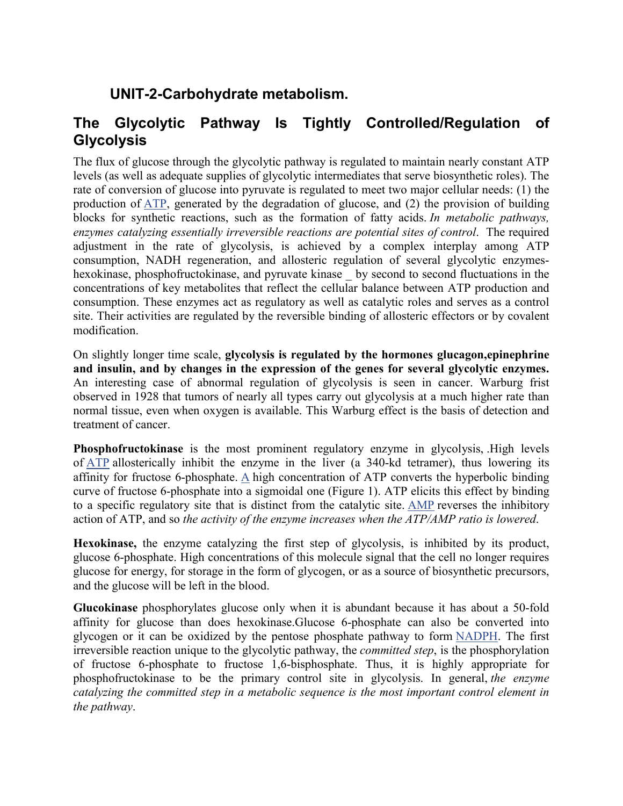## **UNIT-2-Carbohydrate metabolism.**

## **The Glycolytic Pathway Is Tightly Controlled/Regulation of Glycolysis**

The flux of glucose through the glycolytic pathway is regulated to maintain nearly constant ATP levels (as well as adequate supplies of glycolytic intermediates that serve biosynthetic roles). The rate of conversion of glucose into pyruvate is regulated to meet two major cellular needs: (1) the production of ATP, generated by the degradation of glucose, and (2) the provision of building blocks for synthetic reactions, such as the formation of fatty acids. *In metabolic pathways, enzymes catalyzing essentially irreversible reactions are potential sites of control*. The required adjustment in the rate of glycolysis, is achieved by a complex interplay among ATP consumption, NADH regeneration, and allosteric regulation of several glycolytic enzymeshexokinase, phosphofructokinase, and pyruvate kinase by second to second fluctuations in the concentrations of key metabolites that reflect the cellular balance between ATP production and consumption. These enzymes act as regulatory as well as catalytic roles and serves as a control site. Their activities are regulated by the reversible binding of allosteric effectors or by covalent modification.

On slightly longer time scale, **glycolysis is regulated by the hormones glucagon,epinephrine and insulin, and by changes in the expression of the genes for several glycolytic enzymes.** An interesting case of abnormal regulation of glycolysis is seen in cancer. Warburg frist observed in 1928 that tumors of nearly all types carry out glycolysis at a much higher rate than normal tissue, even when oxygen is available. This Warburg effect is the basis of detection and treatment of cancer.

**Phosphofructokinase** is the most prominent regulatory enzyme in glycolysis, .High levels of ATP allosterically inhibit the enzyme in the liver (a 340-kd tetramer), thus lowering its affinity for fructose 6-phosphate. A high concentration of ATP converts the hyperbolic binding curve of fructose 6-phosphate into a sigmoidal one (Figure 1). ATP elicits this effect by binding to a specific regulatory site that is distinct from the catalytic site. AMP reverses the inhibitory action of ATP, and so *the activity of the enzyme increases when the ATP/AMP ratio is lowered*.

**Hexokinase,** the enzyme catalyzing the first step of glycolysis, is inhibited by its product, glucose 6-phosphate. High concentrations of this molecule signal that the cell no longer requires glucose for energy, for storage in the form of glycogen, or as a source of biosynthetic precursors, and the glucose will be left in the blood.

**Glucokinase** phosphorylates glucose only when it is abundant because it has about a 50-fold affinity for glucose than does hexokinase.Glucose 6-phosphate can also be converted into glycogen or it can be oxidized by the pentose phosphate pathway to form NADPH. The first irreversible reaction unique to the glycolytic pathway, the *committed step*, is the phosphorylation of fructose 6-phosphate to fructose 1,6-bisphosphate. Thus, it is highly appropriate for phosphofructokinase to be the primary control site in glycolysis. In general, *the enzyme catalyzing the committed step in a metabolic sequence is the most important control element in the pathway*.